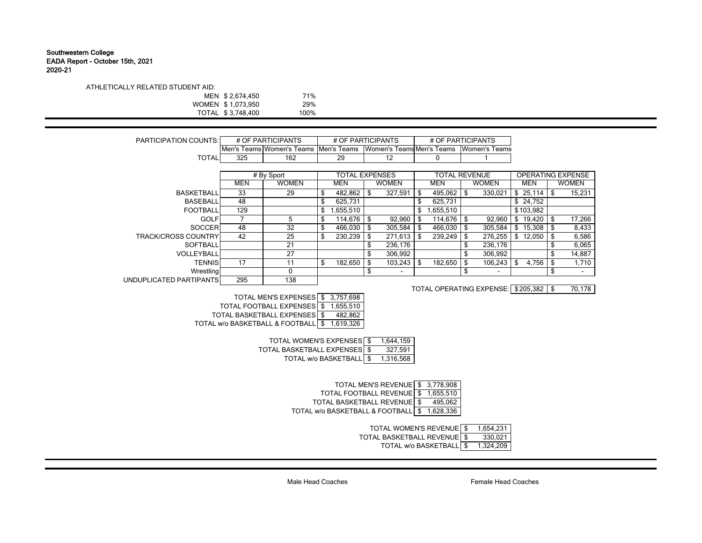## Southwestern College EADA Report - October 15th, 2021 2020-21

| ATHLETICALLY RELATED STUDENT AID: |                   |      |
|-----------------------------------|-------------------|------|
|                                   | MEN \$2.674.450   | 71%  |
|                                   | WOMEN \$1.073.950 | 29%  |
|                                   | TOTAL \$3.748.400 | 100% |

| <b>PARTICIPATION COUNTS:</b> |            | # OF PARTICIPANTS         | # OF PARTICIPANTS<br># OF PARTICIPANTS |                       |                                |    |                      |          |                          |              |     |                          |
|------------------------------|------------|---------------------------|----------------------------------------|-----------------------|--------------------------------|----|----------------------|----------|--------------------------|--------------|-----|--------------------------|
|                              |            | Men's Teams Women's Teams |                                        | Men's Teams           | Women's Teams Men's Teams      |    |                      |          | <b>Women's Teams</b>     |              |     |                          |
| <b>TOTAL</b>                 | 325        | 162                       |                                        | 29                    | 12                             |    | 0                    |          |                          |              |     |                          |
|                              |            |                           |                                        |                       |                                |    |                      |          |                          |              |     |                          |
|                              |            | # By Sport                |                                        | <b>TOTAL EXPENSES</b> |                                |    | <b>TOTAL REVENUE</b> |          |                          |              |     | <b>OPERATING EXPENSE</b> |
|                              | <b>MEN</b> | <b>WOMEN</b>              |                                        | MEN                   | <b>WOMEN</b>                   |    | MEN                  |          | <b>WOMEN</b>             | <b>MEN</b>   |     | <b>WOMEN</b>             |
| <b>BASKETBALL</b>            | 33         | 29                        | \$                                     | 482,862               | \$<br>327,591                  | \$ | 495,062              | -\$      | 330.021                  | \$25,114     | \$. | 15,231                   |
| <b>BASEBALL</b>              | 48         |                           | \$                                     | 625.731               |                                |    | 625,731              |          |                          | \$24,752     |     |                          |
| <b>FOOTBALL</b>              | 129        |                           | \$                                     | 655,510               |                                | \$ | 1,655,510            |          |                          | \$103,982    |     |                          |
| <b>GOLF</b>                  |            | 5                         | S                                      | 114,676               | \$<br>92,960                   | S  | 114,676              | <b>S</b> | 92,960                   | \$<br>19,420 | \$  | 17,266                   |
| <b>SOCCER</b>                | 48         | 32                        | \$                                     | 466.030               | \$<br>305,584                  | S  | 466,030              | \$       | 305,584                  | \$<br>15,308 | S   | 8,433                    |
| <b>TRACK/CROSS COUNTRY</b>   | 42         | 25                        | \$                                     | 230.239               | \$<br>271,613                  |    | 239.249              | -\$      | 276,255                  | \$<br>12,050 | \$  | 6,586                    |
| <b>SOFTBALL</b>              |            | 21                        |                                        |                       | 236,176                        |    |                      | \$       | 236.176                  |              |     | 6,065                    |
| VOLLEYBALL                   |            | 27                        |                                        |                       | \$<br>306,992                  |    |                      | \$       | 306.992                  |              |     | 14,887                   |
| <b>TENNIS</b>                | 17         |                           | \$                                     | 182.650               | \$<br>103,243                  | \$ | 182.650              | \$       | 106,243                  | \$<br>4,756  | \$  | 1,710                    |
| Wrestling                    |            | $\mathbf{0}$              |                                        |                       | \$<br>$\overline{\phantom{a}}$ |    |                      | \$       | $\overline{\phantom{0}}$ |              | \$  |                          |
| UNDUPLICATED PARTIPANTS      | 295        | 138                       |                                        |                       |                                |    |                      |          |                          |              |     |                          |

TOTAL OPERATING EXPENSE: \$205,382 | \$ 70,178

| TOTAL MEN'S EXPENSES \$ 3,757,698            |  |
|----------------------------------------------|--|
| TOTAL FOOTBALL EXPENSES \$ 1,655,510         |  |
| TOTAL BASKETBALL EXPENSES \$482,862          |  |
| TOTAL w/o BASKETBALL & FOOTBALL \$ 1,619,326 |  |

| TOTAL WOMEN'S EXPENSES \$    | 1.644.159 |
|------------------------------|-----------|
| TOTAL BASKETBALL EXPENSES \$ | 327.591   |
| TOTAL w/o BASKETBALL \$      | 1.316.568 |

| TOTAL MEN'S REVENUE \$ 3,778,908 |  |
|----------------------------------|--|
|                                  |  |

TOTAL FOOTBALL REVENUE | \$ 1,655,510

TOTAL BASKETBALL REVENUE \$495,062

TOTAL w/o BASKETBALL & FOOTBALL \$ 1,628,336

TOTAL WOMEN'S REVENUE \$ 1,654,231

TOTAL BASKETBALL REVENUE \$330,021

TOTAL w/o BASKETBALL \$ 1,324,209

Male Head Coaches Female Head Coaches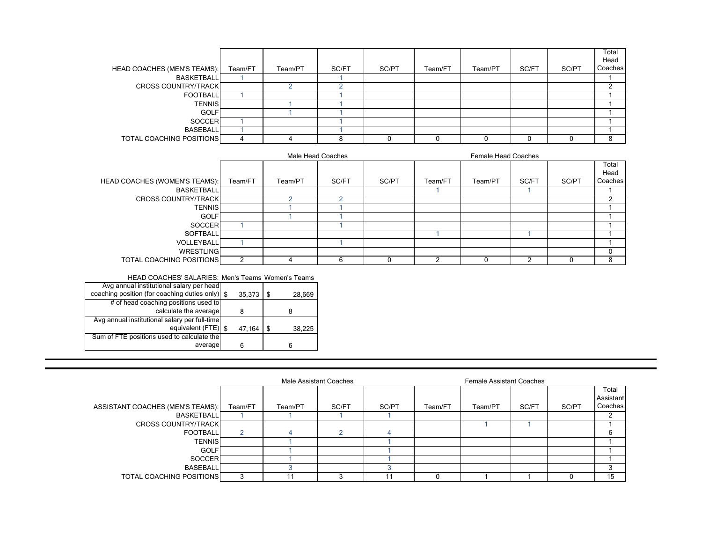|                                 |         |         |       |       |         |         |       |       | Total   |
|---------------------------------|---------|---------|-------|-------|---------|---------|-------|-------|---------|
|                                 |         |         |       |       |         |         |       |       | Head    |
| HEAD COACHES (MEN'S TEAMS):     | Team/FT | Team/PT | SC/FT | SC/PT | Team/FT | Team/PT | SC/FT | SC/PT | Coaches |
| <b>BASKETBALL</b>               |         |         |       |       |         |         |       |       |         |
| <b>CROSS COUNTRY/TRACK</b>      |         |         |       |       |         |         |       |       |         |
| <b>FOOTBALL</b>                 |         |         |       |       |         |         |       |       |         |
| <b>TENNIS</b>                   |         |         |       |       |         |         |       |       |         |
| <b>GOLF</b>                     |         |         |       |       |         |         |       |       |         |
| <b>SOCCER</b>                   |         |         |       |       |         |         |       |       |         |
| <b>BASEBALL</b>                 |         |         |       |       |         |         |       |       |         |
| <b>TOTAL COACHING POSITIONS</b> |         |         |       |       |         |         |       |       | 8       |

|                                      |         |         | Male Head Coaches |       |         |         |       |       |                          |
|--------------------------------------|---------|---------|-------------------|-------|---------|---------|-------|-------|--------------------------|
| <b>HEAD COACHES (WOMEN'S TEAMS):</b> | Team/FT | Team/PT | SC/FT             | SC/PT | Team/FT | Team/PT | SC/FT | SC/PT | Total<br>Head<br>Coaches |
| <b>BASKETBALL</b>                    |         |         |                   |       |         |         |       |       |                          |
| <b>CROSS COUNTRY/TRACK</b>           |         |         |                   |       |         |         |       |       |                          |
| <b>TENNISI</b>                       |         |         |                   |       |         |         |       |       |                          |
| <b>GOLF</b>                          |         |         |                   |       |         |         |       |       |                          |
| SOCCERI                              |         |         |                   |       |         |         |       |       |                          |
| <b>SOFTBALL</b>                      |         |         |                   |       |         |         |       |       |                          |
| VOLLEYBALL                           |         |         |                   |       |         |         |       |       |                          |
| WRESTLING                            |         |         |                   |       |         |         |       |       | -0                       |
| <b>TOTAL COACHING POSITIONS</b>      | ົ       |         | 6                 |       | ◠       |         | c     |       | 8                        |

## HEAD COACHES' SALARIES: Men's Teams Women's Teams

| Avg annual institutional salary per head        |        |               |
|-------------------------------------------------|--------|---------------|
| coaching position (for coaching duties only) \$ | 35,373 | 28,669<br>-\$ |
| # of head coaching positions used to            |        |               |
| calculate the average                           |        |               |
| Avg annual institutional salary per full-time   |        |               |
| equivalent (FTE) \$                             | 47,164 | 38,225        |
| Sum of FTE positions used to calculate the      |        |               |
| average                                         | 6      | 6             |

|                                  |         |         | Male Assistant Coaches |       |         |         |       |       |                               |
|----------------------------------|---------|---------|------------------------|-------|---------|---------|-------|-------|-------------------------------|
| ASSISTANT COACHES (MEN'S TEAMS): | Team/FT | Team/PT | SC/FT                  | SC/PT | Team/FT | Team/PT | SC/FT | SC/PT | Total<br>Assistant<br>Coaches |
| <b>BASKETBALL</b>                |         |         |                        |       |         |         |       |       |                               |
| <b>CROSS COUNTRY/TRACK</b>       |         |         |                        |       |         |         |       |       |                               |
| <b>FOOTBALL</b>                  |         |         |                        |       |         |         |       |       |                               |
| <b>TENNIS</b>                    |         |         |                        |       |         |         |       |       |                               |
| <b>GOLF</b>                      |         |         |                        |       |         |         |       |       |                               |
| SOCCER                           |         |         |                        |       |         |         |       |       |                               |
| <b>BASEBALL</b>                  |         |         |                        |       |         |         |       |       |                               |
| <b>TOTAL COACHING POSITIONS</b>  | 3       |         |                        | 11    |         |         |       |       | 15                            |